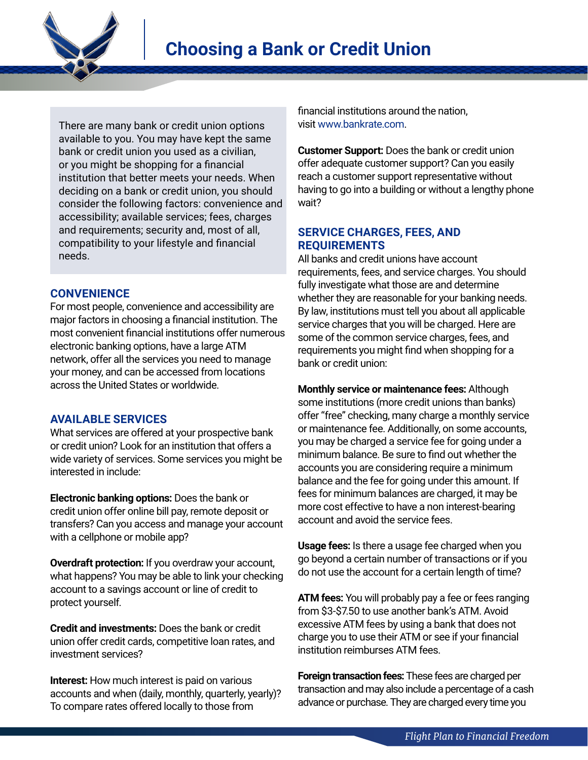

There are many bank or credit union options available to you. You may have kept the same bank or credit union you used as a civilian, or you might be shopping for a financial institution that better meets your needs. When deciding on a bank or credit union, you should consider the following factors: convenience and accessibility; available services; fees, charges and requirements; security and, most of all, compatibility to your lifestyle and financial needs.

## **CONVENIENCE**

For most people, convenience and accessibility are major factors in choosing a financial institution. The most convenient financial institutions offer numerous electronic banking options, have a large ATM network, offer all the services you need to manage your money, and can be accessed from locations across the United States or worldwide.

## **AVAILABLE SERVICES**

What services are offered at your prospective bank or credit union? Look for an institution that offers a wide variety of services. Some services you might be interested in include:

**Electronic banking options:** Does the bank or credit union offer online bill pay, remote deposit or transfers? Can you access and manage your account with a cellphone or mobile app?

**Overdraft protection:** If you overdraw your account, what happens? You may be able to link your checking account to a savings account or line of credit to protect yourself.

**Credit and investments:** Does the bank or credit union offer credit cards, competitive loan rates, and investment services?

**Interest:** How much interest is paid on various accounts and when (daily, monthly, quarterly, yearly)? To compare rates offered locally to those from

financial institutions around the nation, visit [www.bankrate.com](https://www.bankrate.com/).

**Customer Support:** Does the bank or credit union offer adequate customer support? Can you easily reach a customer support representative without having to go into a building or without a lengthy phone wait?

## **SERVICE CHARGES, FEES, AND REQUIREMENTS**

All banks and credit unions have account requirements, fees, and service charges. You should fully investigate what those are and determine whether they are reasonable for your banking needs. By law, institutions must tell you about all applicable service charges that you will be charged. Here are some of the common service charges, fees, and requirements you might find when shopping for a bank or credit union:

**Monthly service or maintenance fees:** Although some institutions (more credit unions than banks) offer "free" checking, many charge a monthly service or maintenance fee. Additionally, on some accounts, you may be charged a service fee for going under a minimum balance. Be sure to find out whether the accounts you are considering require a minimum balance and the fee for going under this amount. If fees for minimum balances are charged, it may be more cost effective to have a non interest-bearing account and avoid the service fees.

**Usage fees:** Is there a usage fee charged when you go beyond a certain number of transactions or if you do not use the account for a certain length of time?

**ATM fees:** You will probably pay a fee or fees ranging from \$3-\$7.50 to use another bank's ATM. Avoid excessive ATM fees by using a bank that does not charge you to use their ATM or see if your financial institution reimburses ATM fees.

**Foreign transaction fees:** These fees are charged per transaction and may also include a percentage of a cash advance or purchase. They are charged every time you